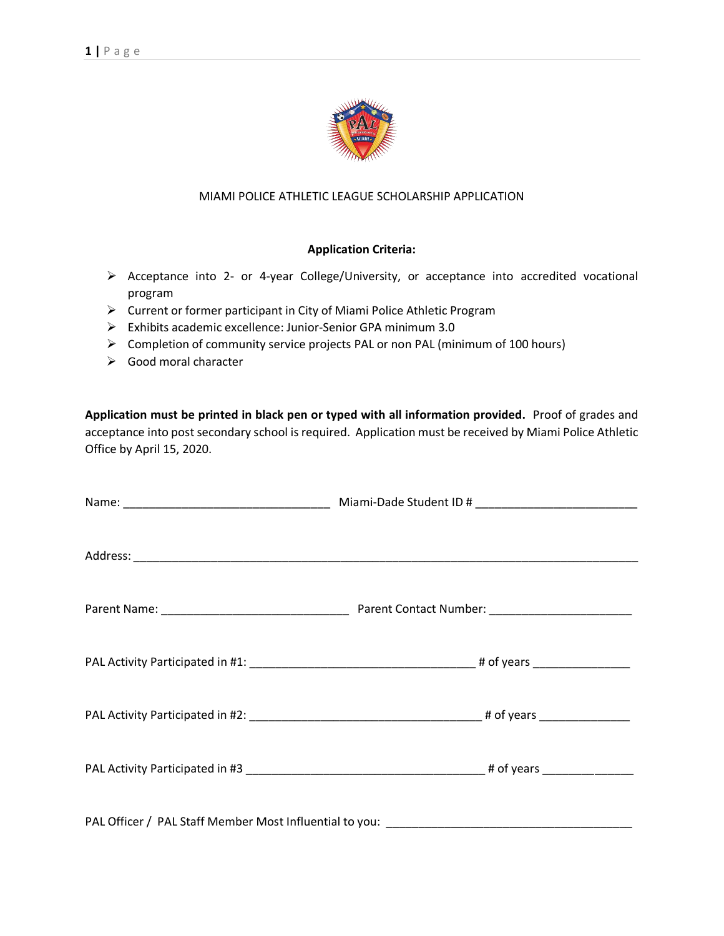

## MIAMI POLICE ATHLETIC LEAGUE SCHOLARSHIP APPLICATION

## **Application Criteria:**

- ➢ Acceptance into 2- or 4-year College/University, or acceptance into accredited vocational program
- ➢ Current or former participant in City of Miami Police Athletic Program
- ➢ Exhibits academic excellence: Junior-Senior GPA minimum 3.0
- ➢ Completion of community service projects PAL or non PAL (minimum of 100 hours)
- ➢ Good moral character

**Application must be printed in black pen or typed with all information provided.** Proof of grades and acceptance into post secondary school is required. Application must be received by Miami Police Athletic Office by April 15, 2020.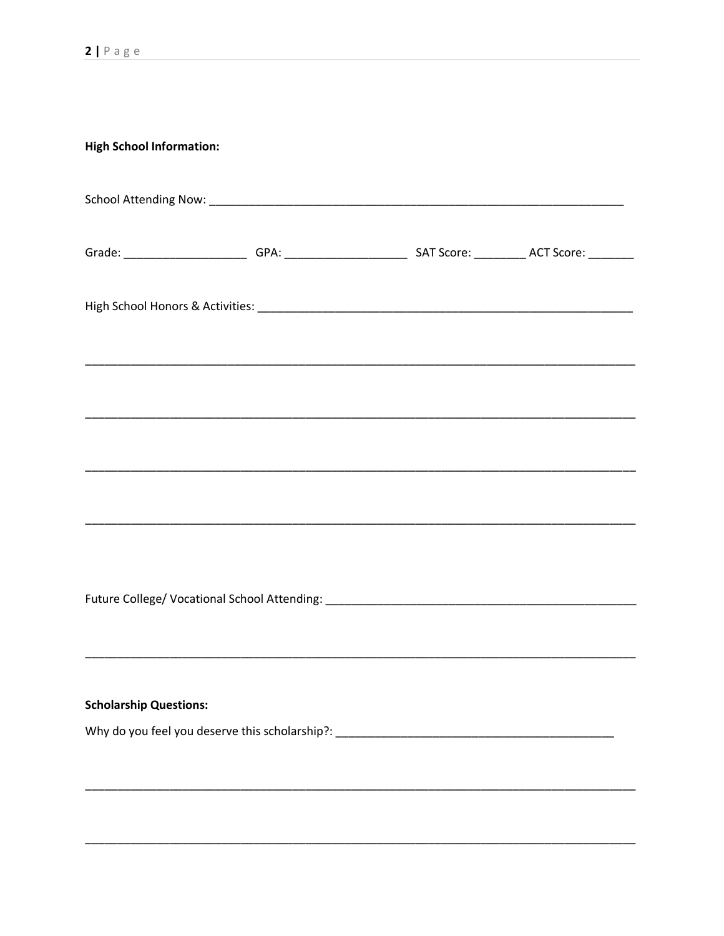| <b>High School Information:</b> |                                                                                                                       |  |
|---------------------------------|-----------------------------------------------------------------------------------------------------------------------|--|
|                                 |                                                                                                                       |  |
|                                 | Grade: ____________________________GPA: _________________________________SAT Score: ______________ACT Score: ________ |  |
|                                 |                                                                                                                       |  |
|                                 |                                                                                                                       |  |
|                                 |                                                                                                                       |  |
|                                 |                                                                                                                       |  |
|                                 |                                                                                                                       |  |
|                                 |                                                                                                                       |  |
|                                 |                                                                                                                       |  |
|                                 |                                                                                                                       |  |
| <b>Scholarship Questions:</b>   |                                                                                                                       |  |
|                                 | Why do you feel you deserve this scholarship?: __________________________________                                     |  |
|                                 |                                                                                                                       |  |
|                                 |                                                                                                                       |  |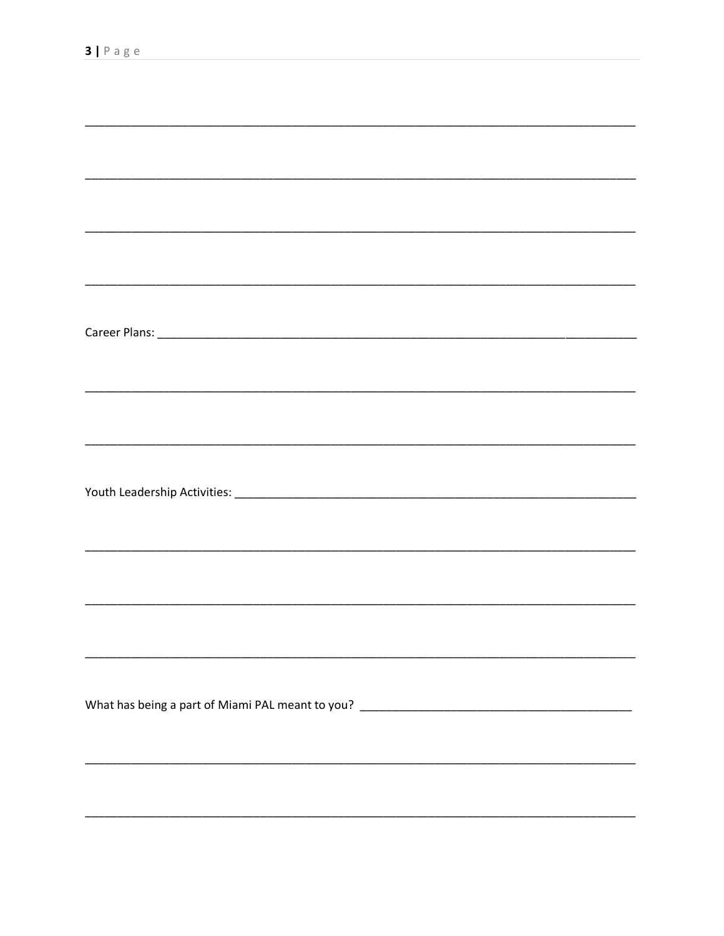| What has being a part of Miami PAL meant to you? _______________________________ |
|----------------------------------------------------------------------------------|
|                                                                                  |
|                                                                                  |